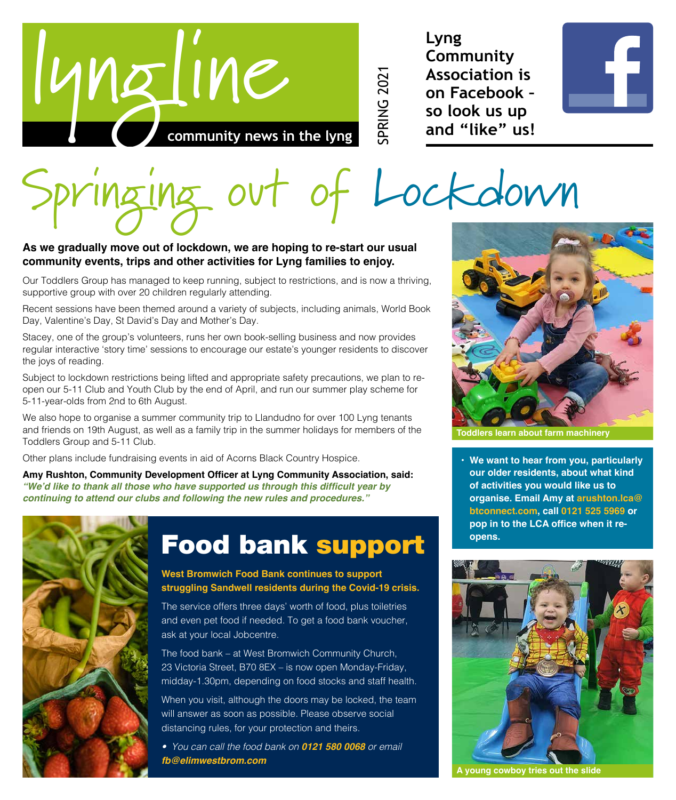

**Lyng Community Association is on Facebook – so look us up and "like" us!**

SPRING 2021



# Lockdown

### **As we gradually move out of lockdown, we are hoping to re-start our usual community events, trips and other activities for Lyng families to enjoy.**

Our Toddlers Group has managed to keep running, subject to restrictions, and is now a thriving, supportive group with over 20 children regularly attending.

Recent sessions have been themed around a variety of subjects, including animals, World Book Day, Valentine's Day, St David's Day and Mother's Day.

Stacey, one of the group's volunteers, runs her own book-selling business and now provides regular interactive 'story time' sessions to encourage our estate's younger residents to discover the joys of reading.

Subject to lockdown restrictions being lifted and appropriate safety precautions, we plan to reopen our 5-11 Club and Youth Club by the end of April, and run our summer play scheme for 5-11-year-olds from 2nd to 6th August.

We also hope to organise a summer community trip to Llandudno for over 100 Lyng tenants and friends on 19th August, as well as a family trip in the summer holidays for members of the Toddlers Group and 5-11 Club.

Other plans include fundraising events in aid of Acorns Black Country Hospice.

**Amy Rushton, Community Development Officer at Lyng Community Association, said: "We'd like to thank all those who have supported us through this difficult year by continuing to attend our clubs and following the new rules and procedures."**



### Food bank support

**West Bromwich Food Bank continues to support struggling Sandwell residents during the Covid-19 crisis.**

The service offers three days' worth of food, plus toiletries and even pet food if needed. To get a food bank voucher, ask at your local Jobcentre.

The food bank – at West Bromwich Community Church, 23 Victoria Street, B70 8EX – is now open Monday-Friday, midday-1.30pm, depending on food stocks and staff health.

When you visit, although the doors may be locked, the team will answer as soon as possible. Please observe social distancing rules, for your protection and theirs.

*• You can call the food bank on 0121 580 0068 or email fb@elimwestbrom.com*



**Toddlers learn about farm machinery**

**• We want to hear from you, particularly our older residents, about what kind of activities you would like us to organise. Email Amy at arushton.lca@ btconnect.com, call 0121 525 5969 or pop in to the LCA office when it reopens.**



**A young cowboy tries out the slide**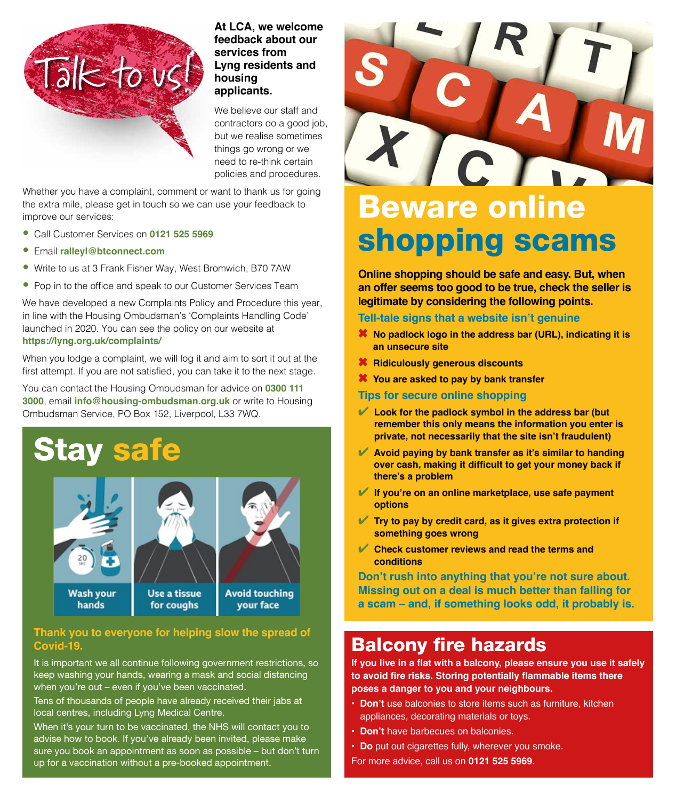

### **At LCA, we welcome feedback about our services from Lyng residents and housing applicants.**

We believe our staff and contractors do a good job, but we realise sometimes things go wrong or we need to re-think certain policies and procedures.

Whether you have a complaint, comment or want to thank us for going the extra mile, please get in touch so we can use your feedback to improve our services:

- Call Customer Services on **0121 525 5969**
- Email **ralleyl@btconnect.com**
- Write to us at 3 Frank Fisher Way, West Bromwich, B70 7AW
- Pop in to the office and speak to our Customer Services Team

We have developed a new Complaints Policy and Procedure this year, in line with the Housing Ombudsman's 'Complaints Handling Code' launched in 2020. You can see the policy on our website at **https://lyng.org.uk/complaints/**

When you lodge a complaint, we will log it and aim to sort it out at the first attempt. If you are not satisfied, you can take it to the next stage.

You can contact the Housing Ombudsman for advice on **0300 111 3000**, email **info@housing-ombudsman.org.uk** or write to Housing Ombudsman Service, PO Box 152, Liverpool, L33 7WQ.





### **Thank you to everyone for helping slow the spread of Covid-19.**

It is important we all continue following government restrictions, so keep washing your hands, wearing a mask and social distancing when you're out – even if you've been vaccinated.

Tens of thousands of people have already received their jabs at local centres, including Lyng Medical Centre.

When it's your turn to be vaccinated, the NHS will contact you to advise how to book. If you've already been invited, please make sure you book an appointment as soon as possible – but don't turn up for a vaccination without a pre-booked appointment.



# shopping scams

**Online shopping should be safe and easy. But, when an offer seems too good to be true, check the seller is legitimate by considering the following points.**

#### **Tell-tale signs that a website isn't genuine**

- **<sup>\*</sup>** No padlock logo in the address bar (URL), indicating it is **an unsecure site**
- 6 **Ridiculously generous discounts**
- **<sup>\*\*</sup>** You are asked to pay by bank transfer

#### **Tips for secure online shopping**

- 4 **Look for the padlock symbol in the address bar (but remember this only means the information you enter is private, not necessarily that the site isn't fraudulent)**
- 4 **Avoid paying by bank transfer as it's similar to handing over cash, making it difficult to get your money back if there's a problem**
- 4 **If you're on an online marketplace, use safe payment options**
- 4 **Try to pay by credit card, as it gives extra protection if something goes wrong**
- **Check customer reviews and read the terms and conditions**

**Don't rush into anything that you're not sure about. Missing out on a deal is much better than falling for a scam – and, if something looks odd, it probably is.**

### Balcony fire hazards

**If you live in a flat with a balcony, please ensure you use it safely to avoid fire risks. Storing potentially flammable items there poses a danger to you and your neighbours.**

- **Don't** use balconies to store items such as furniture, kitchen appliances, decorating materials or toys.
- **Don't** have barbecues on balconies.
- **Do** put out cigarettes fully, wherever you smoke.

For more advice, call us on **0121 525 5969**.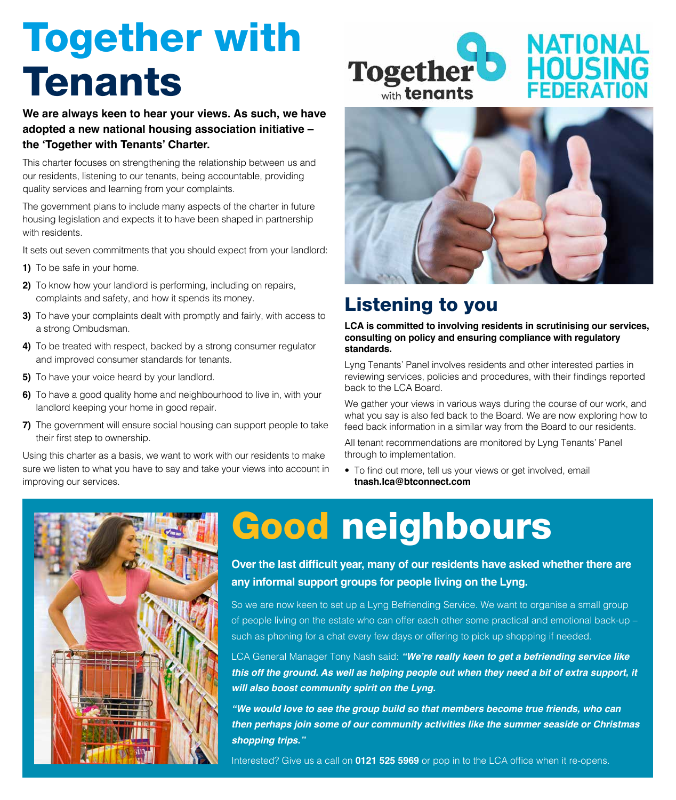# Together with Tenants

**We are always keen to hear your views. As such, we have adopted a new national housing association initiative – the 'Together with Tenants' Charter.**

This charter focuses on strengthening the relationship between us and our residents, listening to our tenants, being accountable, providing quality services and learning from your complaints.

The government plans to include many aspects of the charter in future housing legislation and expects it to have been shaped in partnership with residents.

It sets out seven commitments that you should expect from your landlord:

- **1)** To be safe in your home.
- **2)** To know how your landlord is performing, including on repairs, complaints and safety, and how it spends its money.
- **3)** To have your complaints dealt with promptly and fairly, with access to a strong Ombudsman.
- **4)** To be treated with respect, backed by a strong consumer regulator and improved consumer standards for tenants.
- **5)** To have your voice heard by your landlord.
- **6)** To have a good quality home and neighbourhood to live in, with your landlord keeping your home in good repair.
- **7)** The government will ensure social housing can support people to take their first step to ownership.

Using this charter as a basis, we want to work with our residents to make sure we listen to what you have to say and take your views into account in improving our services.





### Listening to you

**LCA is committed to involving residents in scrutinising our services, consulting on policy and ensuring compliance with regulatory standards.**

Lyng Tenants' Panel involves residents and other interested parties in reviewing services, policies and procedures, with their findings reported back to the LCA Board.

We gather your views in various ways during the course of our work, and what you say is also fed back to the Board. We are now exploring how to feed back information in a similar way from the Board to our residents.

All tenant recommendations are monitored by Lyng Tenants' Panel through to implementation.

• To find out more, tell us your views or get involved, email **tnash.lca@btconnect.com**



# Good neighbours

**Over the last difficult year, many of our residents have asked whether there are any informal support groups for people living on the Lyng.**

So we are now keen to set up a Lyng Befriending Service. We want to organise a small group of people living on the estate who can offer each other some practical and emotional back-up – such as phoning for a chat every few days or offering to pick up shopping if needed.

LCA General Manager Tony Nash said: **"We're really keen to get a befriending service like this off the ground. As well as helping people out when they need a bit of extra support, it will also boost community spirit on the Lyng.**

**"We would love to see the group build so that members become true friends, who can then perhaps join some of our community activities like the summer seaside or Christmas shopping trips."**

Interested? Give us a call on **0121 525 5969** or pop in to the LCA office when it re-opens.